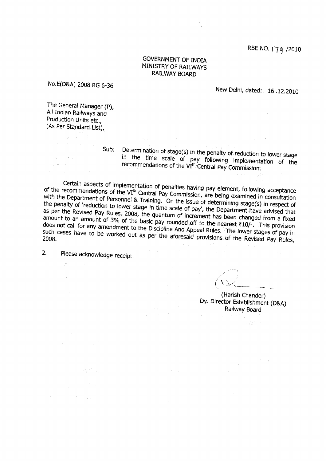RBE NO. 179 /2010

## GOVERNMENT OF INDIA MINISTRY OF RAILWAYS RAILWAY BOARD

No.E(D&A) 2008 RG 6-36

New Delhi, dated: 16 .12.2010

The General Manager (p), All Indian Railways and Production Units etc., (As Per Standard List).

'', and '

그 눈을

Sub: Determination of stage(s) in the penalty of reduction to lower stage<br>in the time scale of pay following implementation of the recommendations of the VI<sup>th</sup> Central Pay Commission.

of the recommendations of the Certain aspects of implementation of penalties having pay element, following acceptance<br>of the recommendations of the VI<sup>th</sup> Central Pay Commission, are being examined in consultation<br>with the Department of Personnel & Tr or the recommendations of the VI<sup>th</sup> Central Pay Commission, are being examined in consultation<br>with the Department of Personnel & Training. On the issue of dotarmining the v() is the penalty of 'reduction to lower stage in time scale of pay', the Department have advised that as per the Revised Pay Rules, 2008, the quantum of increment has been changed from a fixed as per the Revised Pay Rules, 2008, the quantum of increment has been changed from a fixed<br>amount to an amount of 3% of the basic pay rounded off to the nearest  $\overline{x}10/-$ . This provision<br>does not call for any amendment t such cases have to be worked out as per the aforesaid provisions of the Revised Pay Rules,<br>2008.

2. Please acknowledge receipt.

anger i Sal

 $\sim 10^{-1}$ 

guar.

Jt1  $\left(\begin{array}{c} \left\langle \ \right\rangle \ \left\langle \ \right\rangle \end{array}\right)$ 

a barat ing pa

(Harish Chander) Dy. Director Establishment (OgA) Raiilway Board

in partir